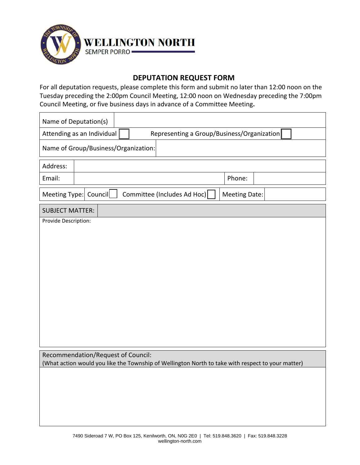

## **DEPUTATION REQUEST FORM**

For all deputation requests, please complete this form and submit no later than 12:00 noon on the Tuesday preceding the 2:00pm Council Meeting, 12:00 noon on Wednesday preceding the 7:00pm Council Meeting, or five business days in advance of a Committee Meeting**.** 

| Name of Deputation(s)                                                                                                                   |  |  |  |
|-----------------------------------------------------------------------------------------------------------------------------------------|--|--|--|
| Representing a Group/Business/Organization<br>Attending as an Individual                                                                |  |  |  |
| Name of Group/Business/Organization:                                                                                                    |  |  |  |
| Address:                                                                                                                                |  |  |  |
| Email:<br>Phone:                                                                                                                        |  |  |  |
| Meeting Type: Council<br>Committee (Includes Ad Hoc)<br>Meeting Date:                                                                   |  |  |  |
| <b>SUBJECT MATTER:</b>                                                                                                                  |  |  |  |
| Provide Description:                                                                                                                    |  |  |  |
|                                                                                                                                         |  |  |  |
|                                                                                                                                         |  |  |  |
|                                                                                                                                         |  |  |  |
|                                                                                                                                         |  |  |  |
|                                                                                                                                         |  |  |  |
|                                                                                                                                         |  |  |  |
|                                                                                                                                         |  |  |  |
|                                                                                                                                         |  |  |  |
|                                                                                                                                         |  |  |  |
| Recommendation/Request of Council:<br>(What action would you like the Township of Wellington North to take with respect to your matter) |  |  |  |
|                                                                                                                                         |  |  |  |
|                                                                                                                                         |  |  |  |
|                                                                                                                                         |  |  |  |
|                                                                                                                                         |  |  |  |
|                                                                                                                                         |  |  |  |